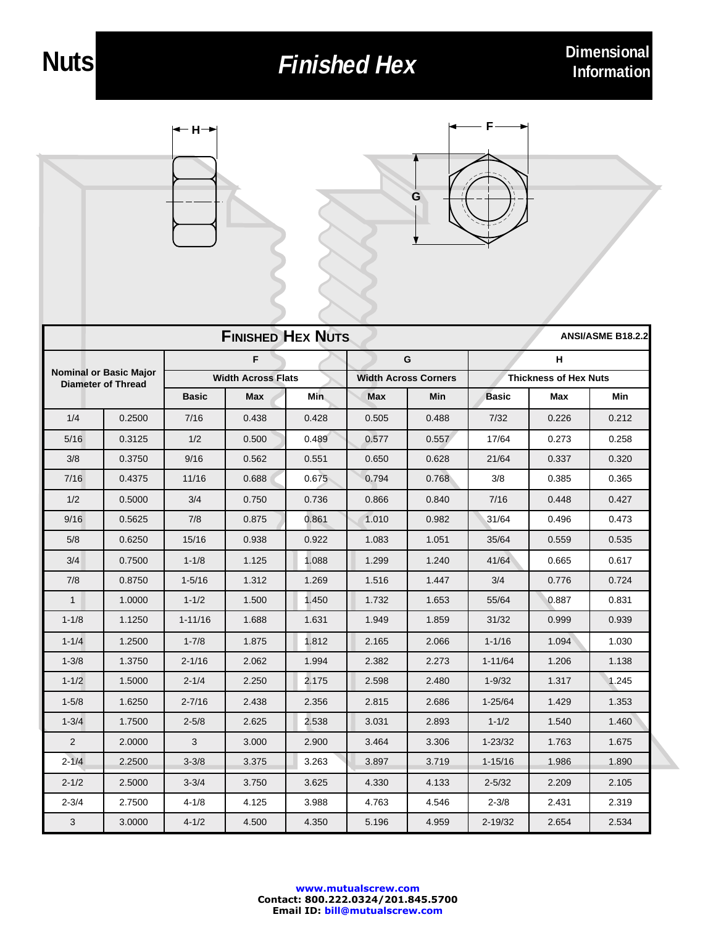## **Finished Hex Dimensional**





| <b>FINISHED HEX NUTS</b><br><b>ANSI/ASME B18.2.2</b>       |        |                           |       |       |                             |       |                              |       |       |
|------------------------------------------------------------|--------|---------------------------|-------|-------|-----------------------------|-------|------------------------------|-------|-------|
| <b>Nominal or Basic Major</b><br><b>Diameter of Thread</b> |        | F                         |       |       | G                           |       | н                            |       |       |
|                                                            |        | <b>Width Across Flats</b> |       |       | <b>Width Across Corners</b> |       | <b>Thickness of Hex Nuts</b> |       |       |
|                                                            |        | <b>Basic</b>              | Max   | Min   | Max                         | Min   | <b>Basic</b>                 | Max   | Min   |
| 1/4                                                        | 0.2500 | 7/16                      | 0.438 | 0.428 | 0.505                       | 0.488 | 7/32                         | 0.226 | 0.212 |
| 5/16                                                       | 0.3125 | 1/2                       | 0.500 | 0.489 | 0.577                       | 0.557 | 17/64                        | 0.273 | 0.258 |
| 3/8                                                        | 0.3750 | 9/16                      | 0.562 | 0.551 | 0.650                       | 0.628 | 21/64                        | 0.337 | 0.320 |
| 7/16                                                       | 0.4375 | 11/16                     | 0.688 | 0.675 | 0.794                       | 0.768 | 3/8                          | 0.385 | 0.365 |
| 1/2                                                        | 0.5000 | 3/4                       | 0.750 | 0.736 | 0.866                       | 0.840 | 7/16                         | 0.448 | 0.427 |
| 9/16                                                       | 0.5625 | 7/8                       | 0.875 | 0.861 | 1.010                       | 0.982 | 31/64                        | 0.496 | 0.473 |
| 5/8                                                        | 0.6250 | 15/16                     | 0.938 | 0.922 | 1.083                       | 1.051 | 35/64                        | 0.559 | 0.535 |
| 3/4                                                        | 0.7500 | $1 - 1/8$                 | 1.125 | 1.088 | 1.299                       | 1.240 | 41/64                        | 0.665 | 0.617 |
| 7/8                                                        | 0.8750 | $1 - 5/16$                | 1.312 | 1.269 | 1.516                       | 1.447 | 3/4                          | 0.776 | 0.724 |
| $\mathbf{1}$                                               | 1.0000 | $1 - 1/2$                 | 1.500 | 1.450 | 1.732                       | 1.653 | 55/64                        | 0.887 | 0.831 |
| $1 - 1/8$                                                  | 1.1250 | $1 - 11/16$               | 1.688 | 1.631 | 1.949                       | 1.859 | 31/32                        | 0.999 | 0.939 |
| $1 - 1/4$                                                  | 1.2500 | $1 - 7/8$                 | 1.875 | 1.812 | 2.165                       | 2.066 | $1 - 1/16$                   | 1.094 | 1.030 |
| $1 - 3/8$                                                  | 1.3750 | $2 - 1/16$                | 2.062 | 1.994 | 2.382                       | 2.273 | $1 - 11/64$                  | 1.206 | 1.138 |
| $1 - 1/2$                                                  | 1.5000 | $2 - 1/4$                 | 2.250 | 2.175 | 2.598                       | 2.480 | $1 - 9/32$                   | 1.317 | 1.245 |
| $1 - 5/8$                                                  | 1.6250 | $2 - 7/16$                | 2.438 | 2.356 | 2.815                       | 2.686 | $1 - 25/64$                  | 1.429 | 1.353 |
| $1 - 3/4$                                                  | 1.7500 | $2 - 5/8$                 | 2.625 | 2.538 | 3.031                       | 2.893 | $1 - 1/2$                    | 1.540 | 1.460 |
| 2                                                          | 2.0000 | 3                         | 3.000 | 2.900 | 3.464                       | 3.306 | $1 - 23/32$                  | 1.763 | 1.675 |
| $2 - 1/4$                                                  | 2.2500 | $3 - 3/8$                 | 3.375 | 3.263 | 3.897                       | 3.719 | $1 - 15/16$                  | 1.986 | 1.890 |
| $2 - 1/2$                                                  | 2.5000 | $3 - 3/4$                 | 3.750 | 3.625 | 4.330                       | 4.133 | $2 - 5/32$                   | 2.209 | 2.105 |
| $2 - 3/4$                                                  | 2.7500 | $4 - 1/8$                 | 4.125 | 3.988 | 4.763                       | 4.546 | $2 - 3/8$                    | 2.431 | 2.319 |
| 3                                                          | 3.0000 | $4 - 1/2$                 | 4.500 | 4.350 | 5.196                       | 4.959 | $2 - 19/32$                  | 2.654 | 2.534 |